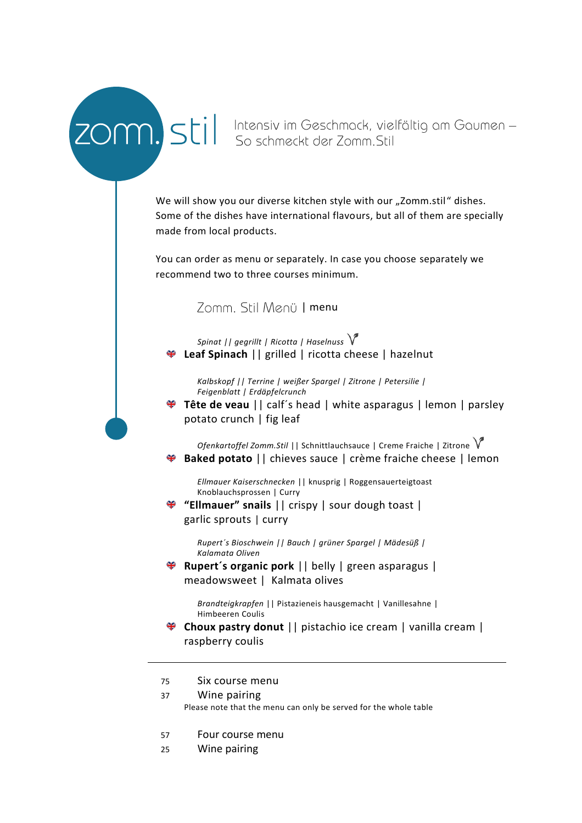ZOM), Still Intensiv im Geschmack, vielfältig am Gaumen –<br>ZOM), Still So schmeckt der Zomm. Stil

We will show you our diverse kitchen style with our "Zomm.stil" dishes. Some of the dishes have international flavours, but all of them are specially made from local products.

You can order as menu or separately. In case you choose separately we recommend two to three courses minimum.

#### Zomm. Stil Menü | menu

*Spinat || gegrillt | Ricotta | Haselnuss* **Leaf Spinach** || grilled | ricotta cheese | hazelnut

*Kalbskopf || Terrine | weißer Spargel | Zitrone | Petersilie | Feigenblatt | Erdäpfelcrunch*

**Tête de veau** || calf´s head | white asparagus | lemon | parsley potato crunch | fig leaf

*Ofenkartoffel Zomm.Stil* || Schnittlauchsauce | Creme Fraiche | Zitrone **Baked potato** || chieves sauce | crème fraiche cheese | lemon

*Ellmauer Kaiserschnecken* || knusprig | Roggensauerteigtoast Knoblauchsprossen | Curry

**"Ellmauer" snails** || crispy | sour dough toast | garlic sprouts | curry

> *Rupert´s Bioschwein || Bauch | grüner Spargel | Mädesüß | Kalamata Oliven*

**Rupert´s organic pork** || belly | green asparagus | meadowsweet | Kalmata olives

> *Brandteigkrapfen* || Pistazieneis hausgemacht | Vanillesahne | Himbeeren Coulis

- **Choux pastry donut** || pistachio ice cream | vanilla cream | raspberry coulis
- 75 Six course menu
- 37 Wine pairing Please note that the menu can only be served for the whole table
- 57 Four course menu
- 25 Wine pairing